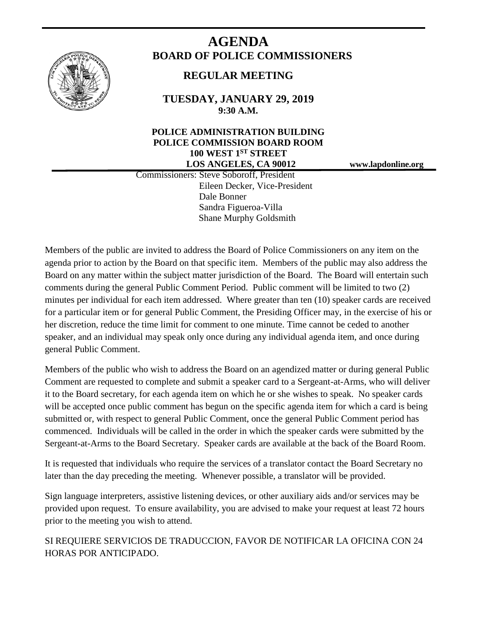

# **AGENDA BOARD OF POLICE COMMISSIONERS**

# **REGULAR MEETING**

**TUESDAY, JANUARY 29, 2019 9:30 A.M.**

# **POLICE ADMINISTRATION BUILDING POLICE COMMISSION BOARD ROOM 100 WEST 1ST STREET LOS ANGELES, CA 90012 www.lapdonline.org**

 Commissioners: Steve Soboroff, President Eileen Decker, Vice-President Dale Bonner Sandra Figueroa-Villa Shane Murphy Goldsmith

Members of the public are invited to address the Board of Police Commissioners on any item on the agenda prior to action by the Board on that specific item. Members of the public may also address the Board on any matter within the subject matter jurisdiction of the Board. The Board will entertain such comments during the general Public Comment Period. Public comment will be limited to two (2) minutes per individual for each item addressed. Where greater than ten (10) speaker cards are received for a particular item or for general Public Comment, the Presiding Officer may, in the exercise of his or her discretion, reduce the time limit for comment to one minute. Time cannot be ceded to another speaker, and an individual may speak only once during any individual agenda item, and once during general Public Comment.

Members of the public who wish to address the Board on an agendized matter or during general Public Comment are requested to complete and submit a speaker card to a Sergeant-at-Arms, who will deliver it to the Board secretary, for each agenda item on which he or she wishes to speak. No speaker cards will be accepted once public comment has begun on the specific agenda item for which a card is being submitted or, with respect to general Public Comment, once the general Public Comment period has commenced. Individuals will be called in the order in which the speaker cards were submitted by the Sergeant-at-Arms to the Board Secretary. Speaker cards are available at the back of the Board Room.

It is requested that individuals who require the services of a translator contact the Board Secretary no later than the day preceding the meeting. Whenever possible, a translator will be provided.

Sign language interpreters, assistive listening devices, or other auxiliary aids and/or services may be provided upon request. To ensure availability, you are advised to make your request at least 72 hours prior to the meeting you wish to attend.

SI REQUIERE SERVICIOS DE TRADUCCION, FAVOR DE NOTIFICAR LA OFICINA CON 24 HORAS POR ANTICIPADO.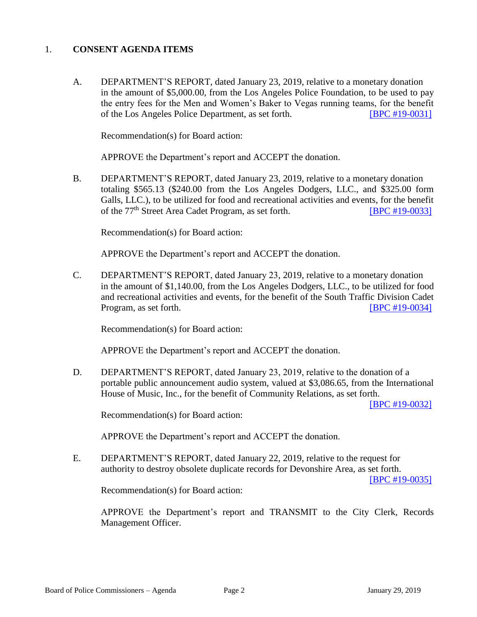# 1. **CONSENT AGENDA ITEMS**

A. DEPARTMENT'S REPORT, dated January 23, 2019, relative to a monetary donation in the amount of \$5,000.00, from the Los Angeles Police Foundation, to be used to pay the entry fees for the Men and Women's Baker to Vegas running teams, for the benefit of the Los Angeles Police Department, as set forth. [\[BPC #19-0031\]](http://www.lapdpolicecom.lacity.org/012919/BPC_19-0031.pdf)

Recommendation(s) for Board action:

APPROVE the Department's report and ACCEPT the donation.

B. DEPARTMENT'S REPORT, dated January 23, 2019, relative to a monetary donation totaling \$565.13 (\$240.00 from the Los Angeles Dodgers, LLC., and \$325.00 form Galls, LLC.), to be utilized for food and recreational activities and events, for the benefit of the 77<sup>th</sup> Street Area Cadet Program, as set forth. **[\[BPC #19-0033\]](http://www.lapdpolicecom.lacity.org/012919/BPC_19-0033.pdf)** 

Recommendation(s) for Board action:

APPROVE the Department's report and ACCEPT the donation.

C. DEPARTMENT'S REPORT, dated January 23, 2019, relative to a monetary donation in the amount of \$1,140.00, from the Los Angeles Dodgers, LLC., to be utilized for food and recreational activities and events, for the benefit of the South Traffic Division Cadet Program, as set forth. **[\[BPC #19-0034\]](http://www.lapdpolicecom.lacity.org/012919/BPC_19-0034.pdf)** 

Recommendation(s) for Board action:

APPROVE the Department's report and ACCEPT the donation.

D. DEPARTMENT'S REPORT, dated January 23, 2019, relative to the donation of a portable public announcement audio system, valued at \$3,086.65, from the International House of Music, Inc., for the benefit of Community Relations, as set forth.

[\[BPC #19-0032\]](http://www.lapdpolicecom.lacity.org/012919/BPC_19-0032.pdf)

Recommendation(s) for Board action:

APPROVE the Department's report and ACCEPT the donation.

E. DEPARTMENT'S REPORT, dated January 22, 2019, relative to the request for authority to destroy obsolete duplicate records for Devonshire Area, as set forth.

[\[BPC #19-0035\]](http://www.lapdpolicecom.lacity.org/012919/BPC_19-0035x.pdf)

Recommendation(s) for Board action:

APPROVE the Department's report and TRANSMIT to the City Clerk, Records Management Officer.